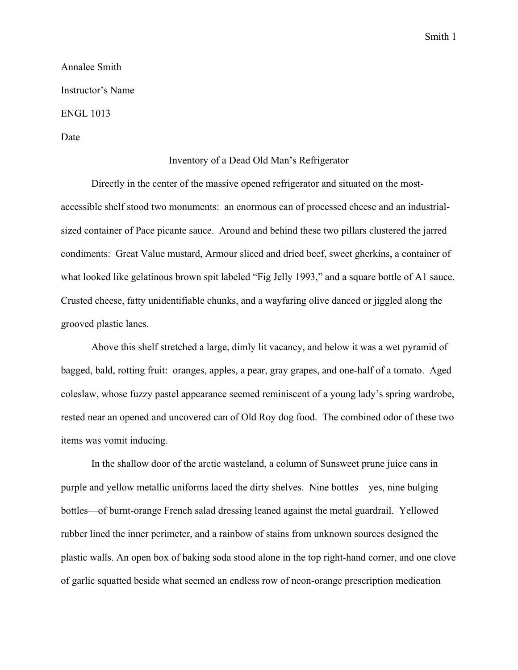Smith 1

Annalee Smith Instructor's Name ENGL 1013 Date

## Inventory of a Dead Old Man's Refrigerator

Directly in the center of the massive opened refrigerator and situated on the mostaccessible shelf stood two monuments: an enormous can of processed cheese and an industrialsized container of Pace picante sauce. Around and behind these two pillars clustered the jarred condiments: Great Value mustard, Armour sliced and dried beef, sweet gherkins, a container of what looked like gelatinous brown spit labeled "Fig Jelly 1993," and a square bottle of A1 sauce. Crusted cheese, fatty unidentifiable chunks, and a wayfaring olive danced or jiggled along the grooved plastic lanes.

Above this shelf stretched a large, dimly lit vacancy, and below it was a wet pyramid of bagged, bald, rotting fruit: oranges, apples, a pear, gray grapes, and one-half of a tomato. Aged coleslaw, whose fuzzy pastel appearance seemed reminiscent of a young lady's spring wardrobe, rested near an opened and uncovered can of Old Roy dog food. The combined odor of these two items was vomit inducing.

In the shallow door of the arctic wasteland, a column of Sunsweet prune juice cans in purple and yellow metallic uniforms laced the dirty shelves. Nine bottles—yes, nine bulging bottles—of burnt-orange French salad dressing leaned against the metal guardrail. Yellowed rubber lined the inner perimeter, and a rainbow of stains from unknown sources designed the plastic walls. An open box of baking soda stood alone in the top right-hand corner, and one clove of garlic squatted beside what seemed an endless row of neon-orange prescription medication